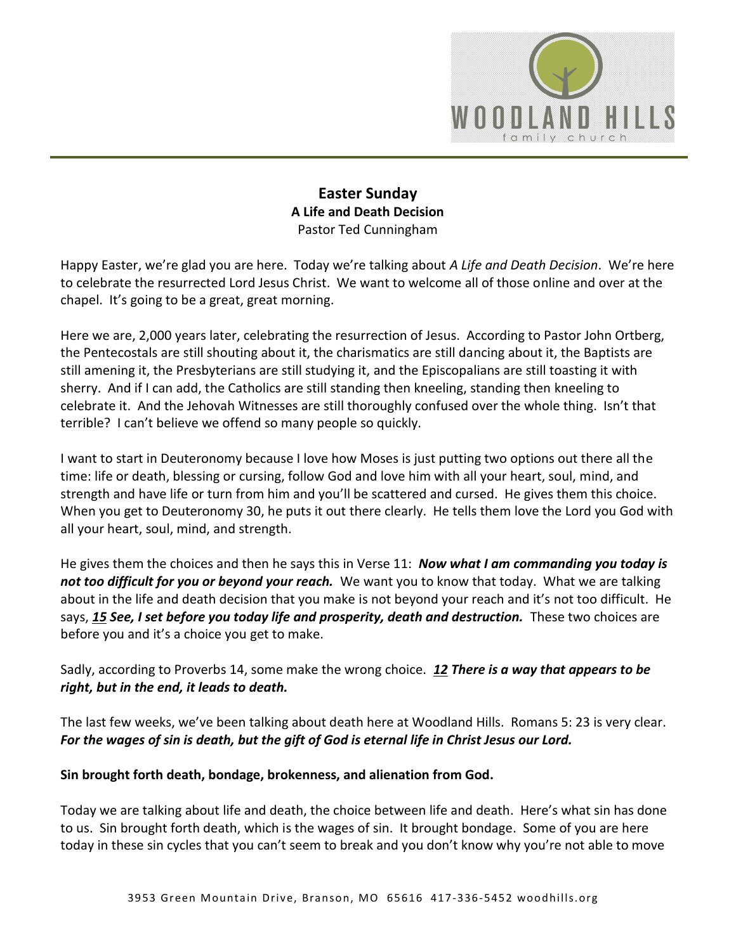

# **Easter Sunday A Life and Death Decision**  Pastor Ted Cunningham

Happy Easter, we're glad you are here. Today we're talking about *A Life and Death Decision*. We're here to celebrate the resurrected Lord Jesus Christ. We want to welcome all of those online and over at the chapel. It's going to be a great, great morning.

Here we are, 2,000 years later, celebrating the resurrection of Jesus. According to Pastor John Ortberg, the Pentecostals are still shouting about it, the charismatics are still dancing about it, the Baptists are still amening it, the Presbyterians are still studying it, and the Episcopalians are still toasting it with sherry. And if I can add, the Catholics are still standing then kneeling, standing then kneeling to celebrate it. And the Jehovah Witnesses are still thoroughly confused over the whole thing. Isn't that terrible? I can't believe we offend so many people so quickly.

I want to start in Deuteronomy because I love how Moses is just putting two options out there all the time: life or death, blessing or cursing, follow God and love him with all your heart, soul, mind, and strength and have life or turn from him and you'll be scattered and cursed. He gives them this choice. When you get to Deuteronomy 30, he puts it out there clearly. He tells them love the Lord you God with all your heart, soul, mind, and strength.

He gives them the choices and then he says this in Verse 11: *Now what I am commanding you today is not too difficult for you or beyond your reach.* We want you to know that today. What we are talking about in the life and death decision that you make is not beyond your reach and it's not too difficult. He says, *[15](http://www.studylight.org/desk/?q=de%2030:15&t1=en_niv&sr=1) See, I set before you today life and prosperity, death and destruction.* These two choices are before you and it's a choice you get to make.

Sadly, according to Proverbs 14, some make the wrong choice. *[12](http://www.studylight.org/desk/?q=pr%2014:12&t1=en_niv&sr=1) There is a way that appears to be right, but in the end, it leads to death.*

The last few weeks, we've been talking about death here at Woodland Hills. Romans 5: 23 is very clear. *For the wages of sin is death, but the gift of God is eternal life in Christ Jesus our Lord.*

#### **Sin brought forth death, bondage, brokenness, and alienation from God.**

Today we are talking about life and death, the choice between life and death. Here's what sin has done to us. Sin brought forth death, which is the wages of sin. It brought bondage. Some of you are here today in these sin cycles that you can't seem to break and you don't know why you're not able to move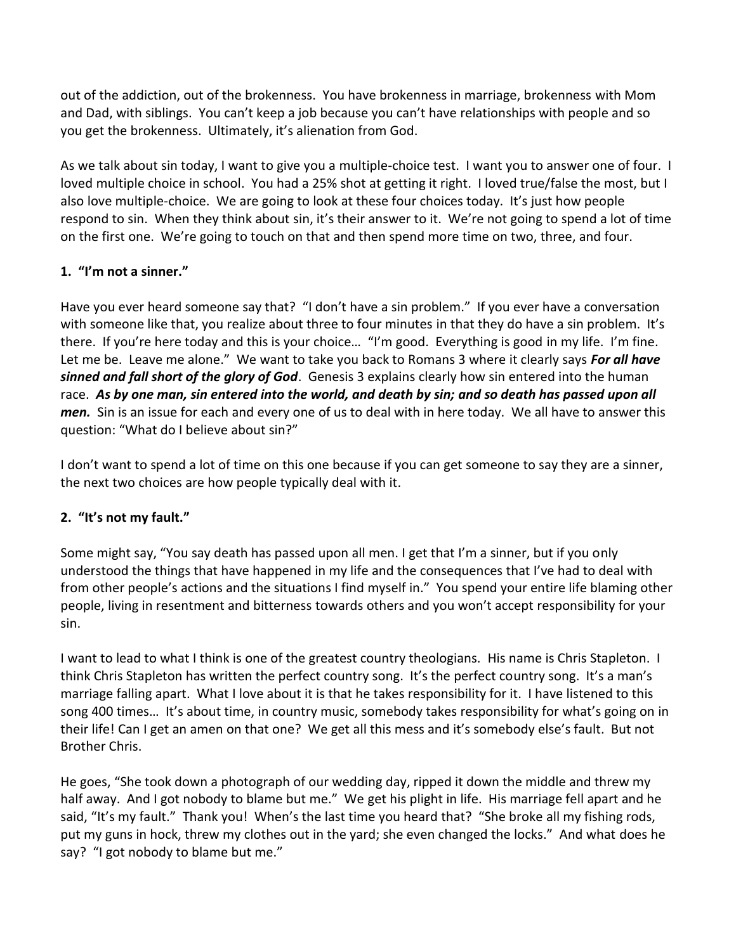out of the addiction, out of the brokenness. You have brokenness in marriage, brokenness with Mom and Dad, with siblings. You can't keep a job because you can't have relationships with people and so you get the brokenness. Ultimately, it's alienation from God.

As we talk about sin today, I want to give you a multiple-choice test. I want you to answer one of four. I loved multiple choice in school. You had a 25% shot at getting it right. I loved true/false the most, but I also love multiple-choice. We are going to look at these four choices today. It's just how people respond to sin. When they think about sin, it's their answer to it. We're not going to spend a lot of time on the first one. We're going to touch on that and then spend more time on two, three, and four.

### **1. "I'm not a sinner."**

Have you ever heard someone say that? "I don't have a sin problem." If you ever have a conversation with someone like that, you realize about three to four minutes in that they do have a sin problem. It's there. If you're here today and this is your choice… "I'm good. Everything is good in my life. I'm fine. Let me be. Leave me alone." We want to take you back to Romans 3 where it clearly says *For all have sinned and fall short of the glory of God*. Genesis 3 explains clearly how sin entered into the human race. *As by one man, sin entered into the world, and death by sin; and so death has passed upon all men.* Sin is an issue for each and every one of us to deal with in here today. We all have to answer this question: "What do I believe about sin?"

I don't want to spend a lot of time on this one because if you can get someone to say they are a sinner, the next two choices are how people typically deal with it.

# **2. "It's not my fault."**

Some might say, "You say death has passed upon all men. I get that I'm a sinner, but if you only understood the things that have happened in my life and the consequences that I've had to deal with from other people's actions and the situations I find myself in." You spend your entire life blaming other people, living in resentment and bitterness towards others and you won't accept responsibility for your sin.

I want to lead to what I think is one of the greatest country theologians. His name is Chris Stapleton. I think Chris Stapleton has written the perfect country song. It's the perfect country song. It's a man's marriage falling apart. What I love about it is that he takes responsibility for it. I have listened to this song 400 times… It's about time, in country music, somebody takes responsibility for what's going on in their life! Can I get an amen on that one? We get all this mess and it's somebody else's fault. But not Brother Chris.

He goes, "She took down a photograph of our wedding day, ripped it down the middle and threw my half away. And I got nobody to blame but me." We get his plight in life. His marriage fell apart and he said, "It's my fault." Thank you! When's the last time you heard that? "She broke all my fishing rods, put my guns in hock, threw my clothes out in the yard; she even changed the locks." And what does he say? "I got nobody to blame but me."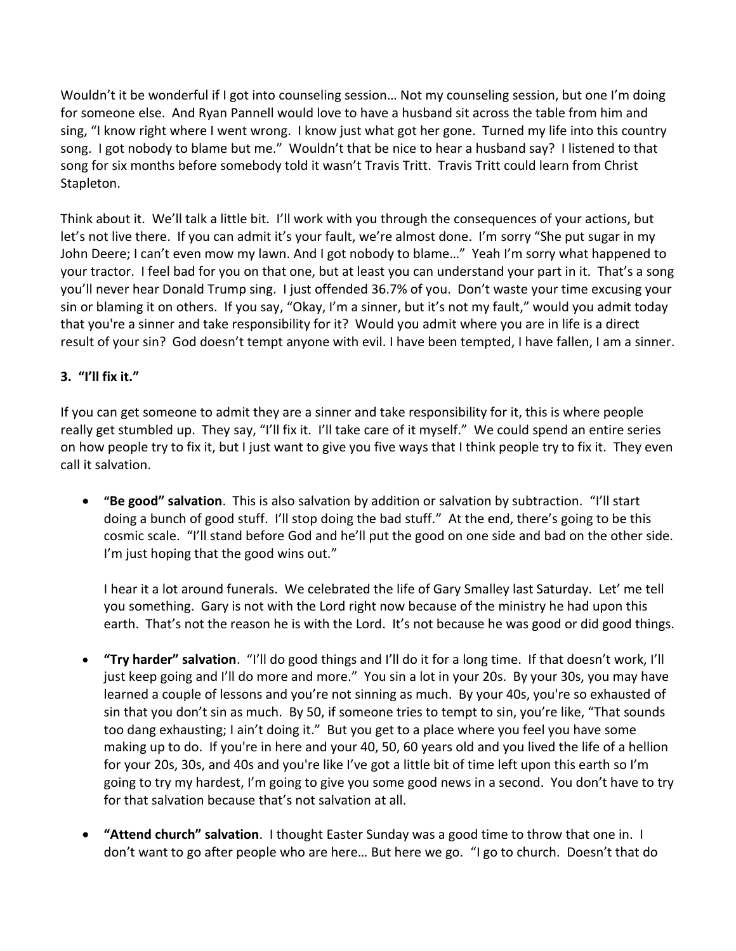Wouldn't it be wonderful if I got into counseling session... Not my counseling session, but one I'm doing for someone else. And Ryan Pannell would love to have a husband sit across the table from him and sing, "I know right where I went wrong. I know just what got her gone. Turned my life into this country song. I got nobody to blame but me." Wouldn't that be nice to hear a husband say? I listened to that song for six months before somebody told it wasn't Travis Tritt. Travis Tritt could learn from Christ Stapleton.

Think about it. We'll talk a little bit. I'll work with you through the consequences of your actions, but let's not live there. If you can admit it's your fault, we're almost done. I'm sorry "She put sugar in my John Deere; I can't even mow my lawn. And I got nobody to blame…" Yeah I'm sorry what happened to your tractor. I feel bad for you on that one, but at least you can understand your part in it. That's a song you'll never hear Donald Trump sing. I just offended 36.7% of you. Don't waste your time excusing your sin or blaming it on others. If you say, "Okay, I'm a sinner, but it's not my fault," would you admit today that you're a sinner and take responsibility for it? Would you admit where you are in life is a direct result of your sin? God doesn't tempt anyone with evil. I have been tempted, I have fallen, I am a sinner.

# **3. "I'll fix it."**

If you can get someone to admit they are a sinner and take responsibility for it, this is where people really get stumbled up. They say, "I'll fix it. I'll take care of it myself." We could spend an entire series on how people try to fix it, but I just want to give you five ways that I think people try to fix it. They even call it salvation.

 **"Be good" salvation**. This is also salvation by addition or salvation by subtraction. "I'll start doing a bunch of good stuff. I'll stop doing the bad stuff." At the end, there's going to be this cosmic scale. "I'll stand before God and he'll put the good on one side and bad on the other side. I'm just hoping that the good wins out."

I hear it a lot around funerals. We celebrated the life of Gary Smalley last Saturday. Let' me tell you something. Gary is not with the Lord right now because of the ministry he had upon this earth. That's not the reason he is with the Lord. It's not because he was good or did good things.

- **"Try harder" salvation**. "I'll do good things and I'll do it for a long time. If that doesn't work, I'll just keep going and I'll do more and more." You sin a lot in your 20s. By your 30s, you may have learned a couple of lessons and you're not sinning as much. By your 40s, you're so exhausted of sin that you don't sin as much. By 50, if someone tries to tempt to sin, you're like, "That sounds too dang exhausting; I ain't doing it." But you get to a place where you feel you have some making up to do. If you're in here and your 40, 50, 60 years old and you lived the life of a hellion for your 20s, 30s, and 40s and you're like I've got a little bit of time left upon this earth so I'm going to try my hardest, I'm going to give you some good news in a second. You don't have to try for that salvation because that's not salvation at all.
- **"Attend church" salvation**. I thought Easter Sunday was a good time to throw that one in. I don't want to go after people who are here… But here we go. "I go to church. Doesn't that do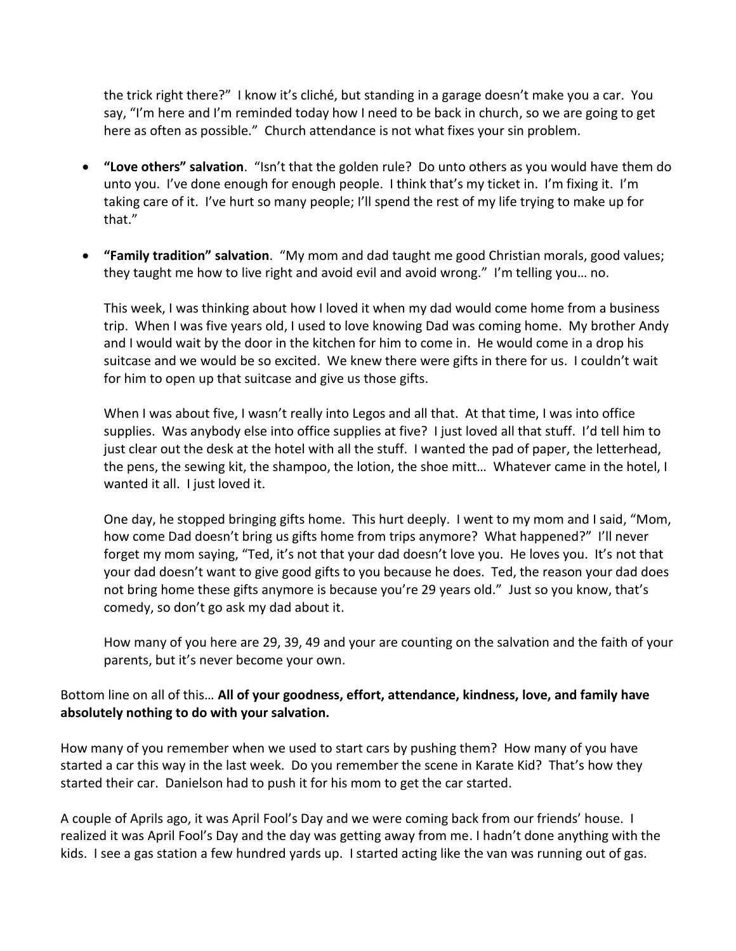the trick right there?" I know it's cliché, but standing in a garage doesn't make you a car. You say, "I'm here and I'm reminded today how I need to be back in church, so we are going to get here as often as possible." Church attendance is not what fixes your sin problem.

- **"Love others" salvation**. "Isn't that the golden rule? Do unto others as you would have them do unto you. I've done enough for enough people. I think that's my ticket in. I'm fixing it. I'm taking care of it. I've hurt so many people; I'll spend the rest of my life trying to make up for that."
- **"Family tradition" salvation**. "My mom and dad taught me good Christian morals, good values; they taught me how to live right and avoid evil and avoid wrong." I'm telling you… no.

This week, I was thinking about how I loved it when my dad would come home from a business trip. When I was five years old, I used to love knowing Dad was coming home. My brother Andy and I would wait by the door in the kitchen for him to come in. He would come in a drop his suitcase and we would be so excited. We knew there were gifts in there for us. I couldn't wait for him to open up that suitcase and give us those gifts.

When I was about five, I wasn't really into Legos and all that. At that time, I was into office supplies. Was anybody else into office supplies at five? I just loved all that stuff. I'd tell him to just clear out the desk at the hotel with all the stuff. I wanted the pad of paper, the letterhead, the pens, the sewing kit, the shampoo, the lotion, the shoe mitt… Whatever came in the hotel, I wanted it all. I just loved it.

One day, he stopped bringing gifts home. This hurt deeply. I went to my mom and I said, "Mom, how come Dad doesn't bring us gifts home from trips anymore? What happened?" I'll never forget my mom saying, "Ted, it's not that your dad doesn't love you. He loves you. It's not that your dad doesn't want to give good gifts to you because he does. Ted, the reason your dad does not bring home these gifts anymore is because you're 29 years old." Just so you know, that's comedy, so don't go ask my dad about it.

How many of you here are 29, 39, 49 and your are counting on the salvation and the faith of your parents, but it's never become your own.

#### Bottom line on all of this… **All of your goodness, effort, attendance, kindness, love, and family have absolutely nothing to do with your salvation.**

How many of you remember when we used to start cars by pushing them? How many of you have started a car this way in the last week. Do you remember the scene in Karate Kid? That's how they started their car. Danielson had to push it for his mom to get the car started.

A couple of Aprils ago, it was April Fool's Day and we were coming back from our friends' house. I realized it was April Fool's Day and the day was getting away from me. I hadn't done anything with the kids. I see a gas station a few hundred yards up. I started acting like the van was running out of gas.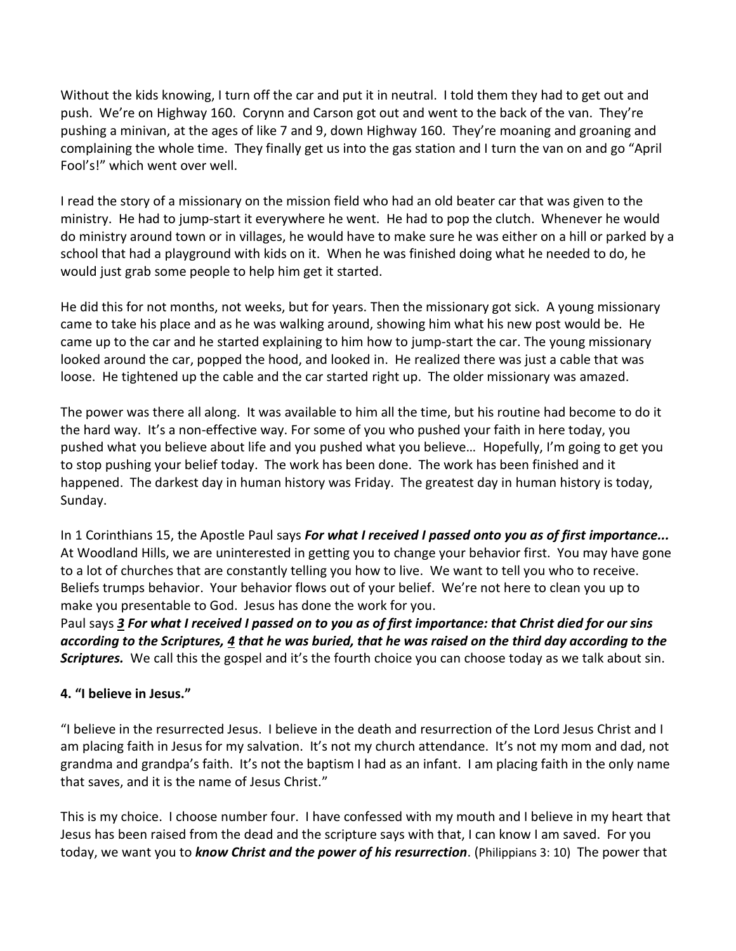Without the kids knowing, I turn off the car and put it in neutral. I told them they had to get out and push. We're on Highway 160. Corynn and Carson got out and went to the back of the van. They're pushing a minivan, at the ages of like 7 and 9, down Highway 160. They're moaning and groaning and complaining the whole time. They finally get us into the gas station and I turn the van on and go "April Fool's!" which went over well.

I read the story of a missionary on the mission field who had an old beater car that was given to the ministry. He had to jump-start it everywhere he went. He had to pop the clutch. Whenever he would do ministry around town or in villages, he would have to make sure he was either on a hill or parked by a school that had a playground with kids on it. When he was finished doing what he needed to do, he would just grab some people to help him get it started.

He did this for not months, not weeks, but for years. Then the missionary got sick. A young missionary came to take his place and as he was walking around, showing him what his new post would be. He came up to the car and he started explaining to him how to jump-start the car. The young missionary looked around the car, popped the hood, and looked in. He realized there was just a cable that was loose. He tightened up the cable and the car started right up. The older missionary was amazed.

The power was there all along. It was available to him all the time, but his routine had become to do it the hard way. It's a non-effective way. For some of you who pushed your faith in here today, you pushed what you believe about life and you pushed what you believe… Hopefully, I'm going to get you to stop pushing your belief today. The work has been done. The work has been finished and it happened. The darkest day in human history was Friday. The greatest day in human history is today, Sunday.

In 1 Corinthians 15, the Apostle Paul says *For what I received I passed onto you as of first importance...* At Woodland Hills, we are uninterested in getting you to change your behavior first. You may have gone to a lot of churches that are constantly telling you how to live. We want to tell you who to receive. Beliefs trumps behavior. Your behavior flows out of your belief. We're not here to clean you up to make you presentable to God. Jesus has done the work for you.

Paul says *[3](http://www.studylight.org/desk/?q=1co%2015:3&t1=en_niv&sr=1) For what I received I passed on to you as of first importance: that Christ died for our sins according to the Scriptures, [4](http://www.studylight.org/desk/?q=1co%2015:4&t1=en_niv&sr=1) that he was buried, that he was raised on the third day according to the Scriptures.* We call this the gospel and it's the fourth choice you can choose today as we talk about sin.

#### **4. "I believe in Jesus."**

"I believe in the resurrected Jesus. I believe in the death and resurrection of the Lord Jesus Christ and I am placing faith in Jesus for my salvation. It's not my church attendance. It's not my mom and dad, not grandma and grandpa's faith. It's not the baptism I had as an infant. I am placing faith in the only name that saves, and it is the name of Jesus Christ."

This is my choice. I choose number four. I have confessed with my mouth and I believe in my heart that Jesus has been raised from the dead and the scripture says with that, I can know I am saved. For you today, we want you to *know Christ and the power of his resurrection*. (Philippians 3: 10) The power that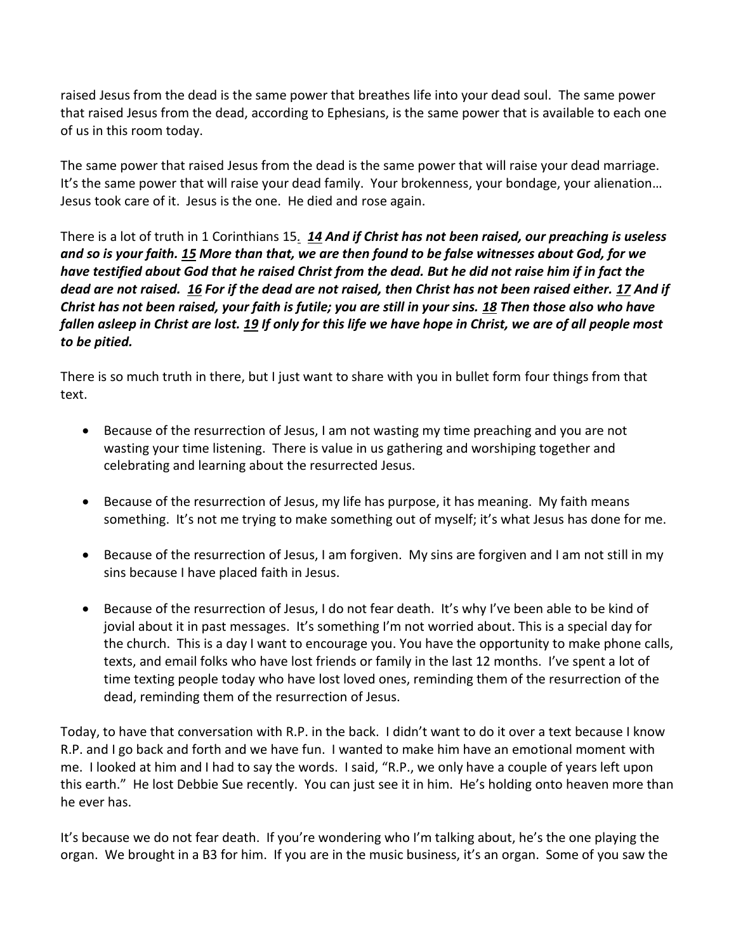raised Jesus from the dead is the same power that breathes life into your dead soul. The same power that raised Jesus from the dead, according to Ephesians, is the same power that is available to each one of us in this room today.

The same power that raised Jesus from the dead is the same power that will raise your dead marriage. It's the same power that will raise your dead family. Your brokenness, your bondage, your alienation… Jesus took care of it. Jesus is the one. He died and rose again.

There is a lot of truth in 1 Corinthians 15*. [14](http://www.studylight.org/desk/?q=1co%2015:14&t1=en_niv&sr=1) And if Christ has not been raised, our preaching is useless and so is your faith. [15](http://www.studylight.org/desk/?q=1co%2015:15&t1=en_niv&sr=1) More than that, we are then found to be false witnesses about God, for we have testified about God that he raised Christ from the dead. But he did not raise him if in fact the dead are not raised. [16](http://www.studylight.org/desk/?q=1co%2015:16&t1=en_niv&sr=1) For if the dead are not raised, then Christ has not been raised either. [17](http://www.studylight.org/desk/?q=1co%2015:17&t1=en_niv&sr=1) And if Christ has not been raised, your faith is futile; you are still in your sins. [18](http://www.studylight.org/desk/?q=1co%2015:18&t1=en_niv&sr=1) Then those also who have fallen asleep in Christ are lost. [19](http://www.studylight.org/desk/?q=1co%2015:19&t1=en_niv&sr=1) If only for this life we have hope in Christ, we are of all people most to be pitied.* 

There is so much truth in there, but I just want to share with you in bullet form four things from that text.

- Because of the resurrection of Jesus, I am not wasting my time preaching and you are not wasting your time listening. There is value in us gathering and worshiping together and celebrating and learning about the resurrected Jesus.
- Because of the resurrection of Jesus, my life has purpose, it has meaning. My faith means something. It's not me trying to make something out of myself; it's what Jesus has done for me.
- Because of the resurrection of Jesus, I am forgiven. My sins are forgiven and I am not still in my sins because I have placed faith in Jesus.
- Because of the resurrection of Jesus, I do not fear death. It's why I've been able to be kind of jovial about it in past messages. It's something I'm not worried about. This is a special day for the church. This is a day I want to encourage you. You have the opportunity to make phone calls, texts, and email folks who have lost friends or family in the last 12 months. I've spent a lot of time texting people today who have lost loved ones, reminding them of the resurrection of the dead, reminding them of the resurrection of Jesus.

Today, to have that conversation with R.P. in the back. I didn't want to do it over a text because I know R.P. and I go back and forth and we have fun. I wanted to make him have an emotional moment with me. I looked at him and I had to say the words. I said, "R.P., we only have a couple of years left upon this earth." He lost Debbie Sue recently. You can just see it in him. He's holding onto heaven more than he ever has.

It's because we do not fear death. If you're wondering who I'm talking about, he's the one playing the organ. We brought in a B3 for him. If you are in the music business, it's an organ. Some of you saw the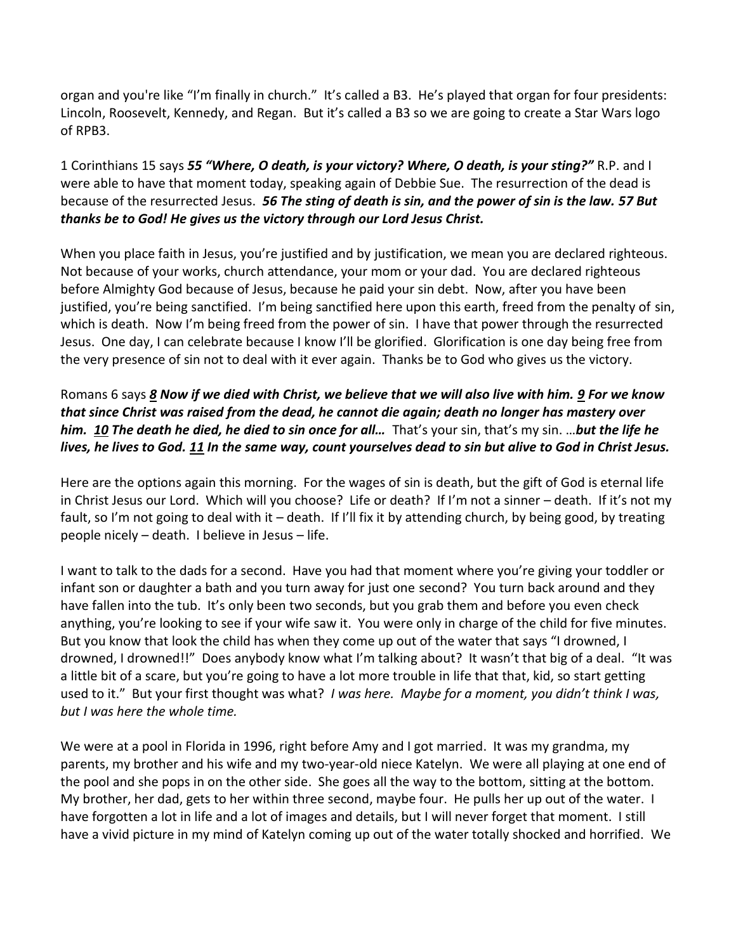organ and you're like "I'm finally in church." It's called a B3. He's played that organ for four presidents: Lincoln, Roosevelt, Kennedy, and Regan. But it's called a B3 so we are going to create a Star Wars logo of RPB3.

1 Corinthians 15 says *[55](http://www.studylight.org/desk/?q=1co%2015:55&t1=en_niv&sr=1) "Where, O death, is your victory? Where, O death, is your sting?"* R.P. and I were able to have that moment today, speaking again of Debbie Sue. The resurrection of the dead is because of the resurrected Jesus. *[56](http://www.studylight.org/desk/?q=1co%2015:56&t1=en_niv&sr=1) The sting of death is sin, and the power of sin is the law. [57](http://www.studylight.org/desk/?q=1co%2015:57&t1=en_niv&sr=1) But thanks be to God! He gives us the victory through our Lord Jesus Christ.*

When you place faith in Jesus, you're justified and by justification, we mean you are declared righteous. Not because of your works, church attendance, your mom or your dad. You are declared righteous before Almighty God because of Jesus, because he paid your sin debt. Now, after you have been justified, you're being sanctified. I'm being sanctified here upon this earth, freed from the penalty of sin, which is death. Now I'm being freed from the power of sin. I have that power through the resurrected Jesus. One day, I can celebrate because I know I'll be glorified. Glorification is one day being free from the very presence of sin not to deal with it ever again. Thanks be to God who gives us the victory.

### Romans 6 says *[8](http://www.studylight.org/desk/?q=ro%206:8&t1=en_niv&sr=1) Now if we died with Christ, we believe that we will also live with him. [9](http://www.studylight.org/desk/?q=ro%206:9&t1=en_niv&sr=1) For we know that since Christ was raised from the dead, he cannot die again; death no longer has mastery over him. [10](http://www.studylight.org/desk/?q=ro%206:10&t1=en_niv&sr=1) The death he died, he died to sin once for all…* That's your sin, that's my sin. …*but the life he lives, he lives to God. [11](http://www.studylight.org/desk/?q=ro%206:11&t1=en_niv&sr=1) In the same way, count yourselves dead to sin but alive to God in Christ Jesus.*

Here are the options again this morning. For the wages of sin is death, but the gift of God is eternal life in Christ Jesus our Lord. Which will you choose? Life or death? If I'm not a sinner – death. If it's not my fault, so I'm not going to deal with it – death. If I'll fix it by attending church, by being good, by treating people nicely – death. I believe in Jesus – life.

I want to talk to the dads for a second. Have you had that moment where you're giving your toddler or infant son or daughter a bath and you turn away for just one second? You turn back around and they have fallen into the tub. It's only been two seconds, but you grab them and before you even check anything, you're looking to see if your wife saw it. You were only in charge of the child for five minutes. But you know that look the child has when they come up out of the water that says "I drowned, I drowned, I drowned!!" Does anybody know what I'm talking about? It wasn't that big of a deal. "It was a little bit of a scare, but you're going to have a lot more trouble in life that that, kid, so start getting used to it." But your first thought was what? *I was here. Maybe for a moment, you didn't think I was, but I was here the whole time.* 

We were at a pool in Florida in 1996, right before Amy and I got married. It was my grandma, my parents, my brother and his wife and my two-year-old niece Katelyn. We were all playing at one end of the pool and she pops in on the other side. She goes all the way to the bottom, sitting at the bottom. My brother, her dad, gets to her within three second, maybe four. He pulls her up out of the water. I have forgotten a lot in life and a lot of images and details, but I will never forget that moment. I still have a vivid picture in my mind of Katelyn coming up out of the water totally shocked and horrified. We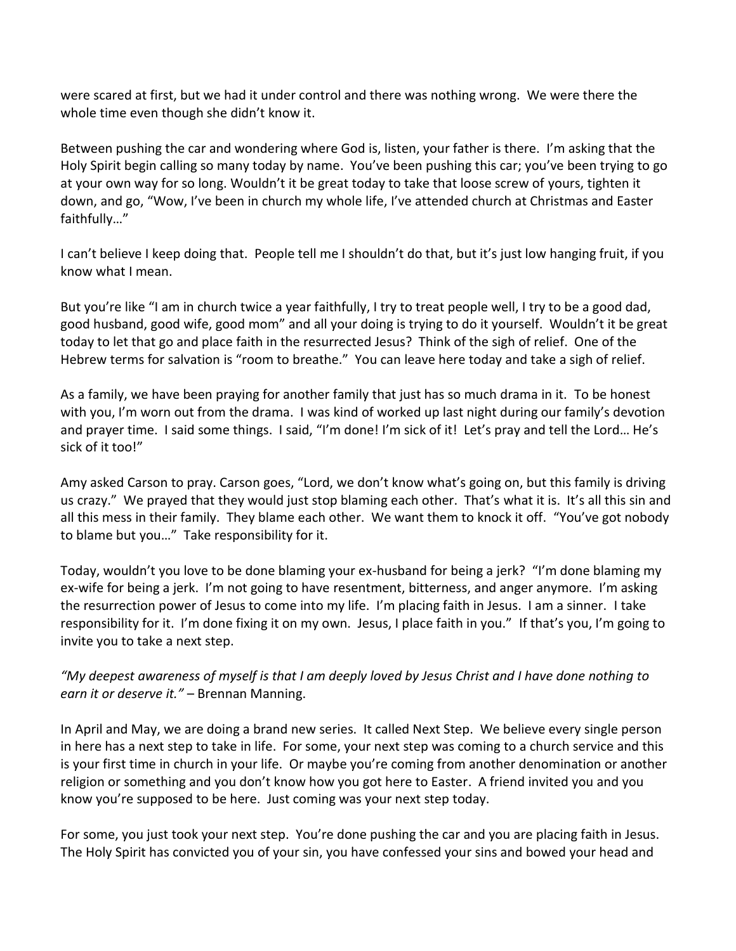were scared at first, but we had it under control and there was nothing wrong. We were there the whole time even though she didn't know it.

Between pushing the car and wondering where God is, listen, your father is there. I'm asking that the Holy Spirit begin calling so many today by name. You've been pushing this car; you've been trying to go at your own way for so long. Wouldn't it be great today to take that loose screw of yours, tighten it down, and go, "Wow, I've been in church my whole life, I've attended church at Christmas and Easter faithfully…"

I can't believe I keep doing that. People tell me I shouldn't do that, but it's just low hanging fruit, if you know what I mean.

But you're like "I am in church twice a year faithfully, I try to treat people well, I try to be a good dad, good husband, good wife, good mom" and all your doing is trying to do it yourself. Wouldn't it be great today to let that go and place faith in the resurrected Jesus? Think of the sigh of relief. One of the Hebrew terms for salvation is "room to breathe." You can leave here today and take a sigh of relief.

As a family, we have been praying for another family that just has so much drama in it. To be honest with you, I'm worn out from the drama. I was kind of worked up last night during our family's devotion and prayer time. I said some things. I said, "I'm done! I'm sick of it! Let's pray and tell the Lord... He's sick of it too!"

Amy asked Carson to pray. Carson goes, "Lord, we don't know what's going on, but this family is driving us crazy." We prayed that they would just stop blaming each other. That's what it is. It's all this sin and all this mess in their family. They blame each other. We want them to knock it off. "You've got nobody to blame but you…" Take responsibility for it.

Today, wouldn't you love to be done blaming your ex-husband for being a jerk? "I'm done blaming my ex-wife for being a jerk. I'm not going to have resentment, bitterness, and anger anymore. I'm asking the resurrection power of Jesus to come into my life. I'm placing faith in Jesus. I am a sinner. I take responsibility for it. I'm done fixing it on my own. Jesus, I place faith in you." If that's you, I'm going to invite you to take a next step.

*"My deepest awareness of myself is that I am deeply loved by Jesus Christ and I have done nothing to earn it or deserve it."* – Brennan Manning.

In April and May, we are doing a brand new series. It called Next Step. We believe every single person in here has a next step to take in life. For some, your next step was coming to a church service and this is your first time in church in your life. Or maybe you're coming from another denomination or another religion or something and you don't know how you got here to Easter. A friend invited you and you know you're supposed to be here. Just coming was your next step today.

For some, you just took your next step. You're done pushing the car and you are placing faith in Jesus. The Holy Spirit has convicted you of your sin, you have confessed your sins and bowed your head and